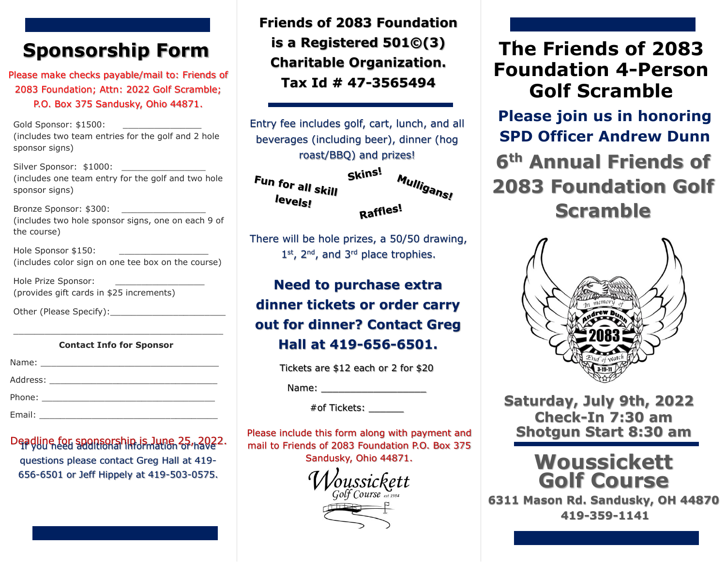# **Sponsorship Form**

Please make checks payable/mail to: Friends of 2083 Foundation; Attn: 2022 Golf Scramble; P.O. Box 375 Sandusky, Ohio 44871.

Gold Sponsor: \$1500: (includes two team entries for the golf and 2 hole sponsor signs)

Silver Sponsor: \$1000: \_\_\_\_\_\_\_\_\_\_\_\_\_\_\_\_ (includes one team entry for the golf and two hole sponsor signs)

Bronze Sponsor: \$300: (includes two hole sponsor signs, one on each 9 of the course)

Hole Sponsor \$150: (includes color sign on one tee box on the course)

Hole Prize Sponsor: (provides gift cards in \$25 increments)

Other (Please Specify):\_\_\_\_\_\_\_\_\_\_\_\_\_\_\_\_\_\_\_\_\_\_

#### \_\_\_\_\_\_\_\_\_\_\_\_\_\_\_\_\_\_\_\_\_\_\_\_\_\_\_\_\_\_\_\_\_\_\_\_\_\_\_\_ **Contact Info for Sponsor**

| Address: __________________________                                                       |  |
|-------------------------------------------------------------------------------------------|--|
|                                                                                           |  |
| Email:<br>the contract of the contract of the contract of the contract of the contract of |  |

Deadline for sponsorship is June 25 <sub>11</sub>2022. questions please contact Greg Hall at 419- 656-6501 or Jeff Hippely at 419-503-0575.

**Friends of 2083 Foundation is a Registered 501©(3) Charitable Organization. Tax Id # 47-3565494**

Entry fee includes golf, cart, lunch, and all beverages (including beer), dinner (hog roast/BBQ) and prizes!



There will be hole prizes, a 50/50 drawing, 1<sup>st</sup>, 2<sup>nd</sup>, and 3<sup>rd</sup> place trophies.

**Need to purchase extra dinner tickets or order carry out for dinner? Contact Greg Hall at 419-656-6501.**

Tickets are \$12 each or 2 for \$20

Name: \_\_\_\_\_\_\_\_\_\_\_\_\_\_\_\_\_\_

 $#$ of Tickets:  $\_\_\_\_\_\_\_\_\_\_\_\_\_\_\_\_$ 

Please include this form along with payment and mail to Friends of 2083 Foundation P.O. Box 375 Sandusky, Ohio 44871.

Golf Course  $\sum_{est 198}$ 

## . **The Friends of 2083 Foundation 4-Person Golf Scramble**

**Please join us in honoring SPD Officer Andrew Dunn 6th Annual Friends of 2083 Foundation Golf Scramble** 



**Saturday, July 9th, 2022 Shotgun Start 8:30 am Check-In 7:30 am**

### **Woussickett Golf Course**

**6311 Mason Rd. Sandusky, OH 44870 419-359-1141**